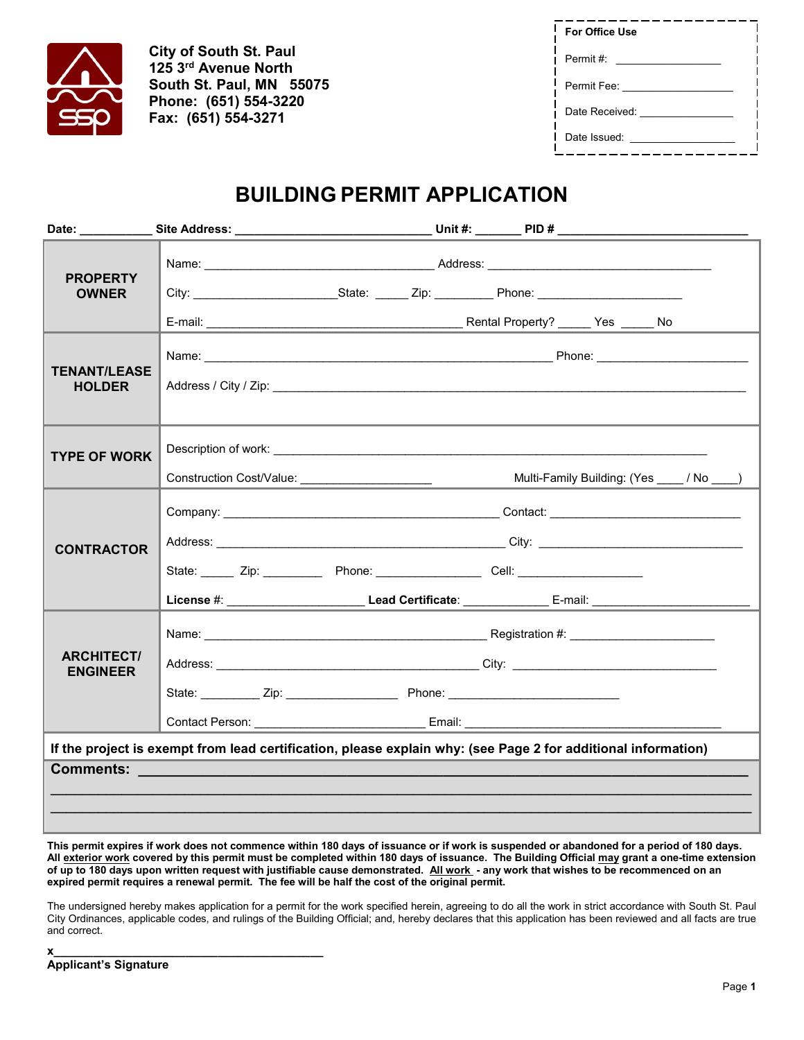

**City of South St. Paul 125 3rd Avenue North South St. Paul, MN 55075 Phone: (651) 554-3220 Fax: (651) 554-3271**

| <b>For Office Use</b> |  |
|-----------------------|--|
| Permit #:             |  |
| Permit Fee:           |  |
| Date Received:        |  |
| Date Issued:          |  |

## **BUILDING PERMIT APPLICATION**

| <b>PROPERTY</b><br><b>OWNER</b>                                                                               |                                                                                                                                                                                                                                                                                                                    |  |  |                                           |  |
|---------------------------------------------------------------------------------------------------------------|--------------------------------------------------------------------------------------------------------------------------------------------------------------------------------------------------------------------------------------------------------------------------------------------------------------------|--|--|-------------------------------------------|--|
| <b>TENANT/LEASE</b><br><b>HOLDER</b>                                                                          | Address / City / Zip: 2008. Address / City / Zip:                                                                                                                                                                                                                                                                  |  |  |                                           |  |
| <b>TYPE OF WORK</b>                                                                                           | Construction Cost/Value: _______________________                                                                                                                                                                                                                                                                   |  |  | Multi-Family Building: (Yes ____/ No ___) |  |
| <b>CONTRACTOR</b>                                                                                             | Address: City: City: City: City: City: City: City: City: City: City: City: City: City: City: City: City: City: City: City: City: City: City: City: City: City: City: City: City: City: City: City: City: City: City: City: Cit<br>State: ______ Zip: ___________ Phone: __________________ Cell: _________________ |  |  |                                           |  |
| <b>ARCHITECT/</b><br><b>ENGINEER</b>                                                                          |                                                                                                                                                                                                                                                                                                                    |  |  |                                           |  |
| If the project is exempt from lead certification, please explain why: (see Page 2 for additional information) |                                                                                                                                                                                                                                                                                                                    |  |  |                                           |  |
|                                                                                                               | Comments: <u>www.comments:</u>                                                                                                                                                                                                                                                                                     |  |  |                                           |  |

**This permit expires if work does not commence within 180 days of issuance or if work is suspended or abandoned for a period of 180 days. All exterior work covered by this permit must be completed within 180 days of issuance. The Building Official may grant a one-time extension of up to 180 days upon written request with justifiable cause demonstrated. All work - any work that wishes to be recommenced on an**  expired permit requires a renewal permit. The fee will be half the cost of the original permit.

The undersigned hereby makes application for a permit for the work specified herein, agreeing to do all the work in strict accordance with South St. Paul City Ordinances, applicable codes, and rulings of the Building Official; and, hereby declares that this application has been reviewed and all facts are true and correct.

| X                            |  |
|------------------------------|--|
| <b>Applicant's Signature</b> |  |